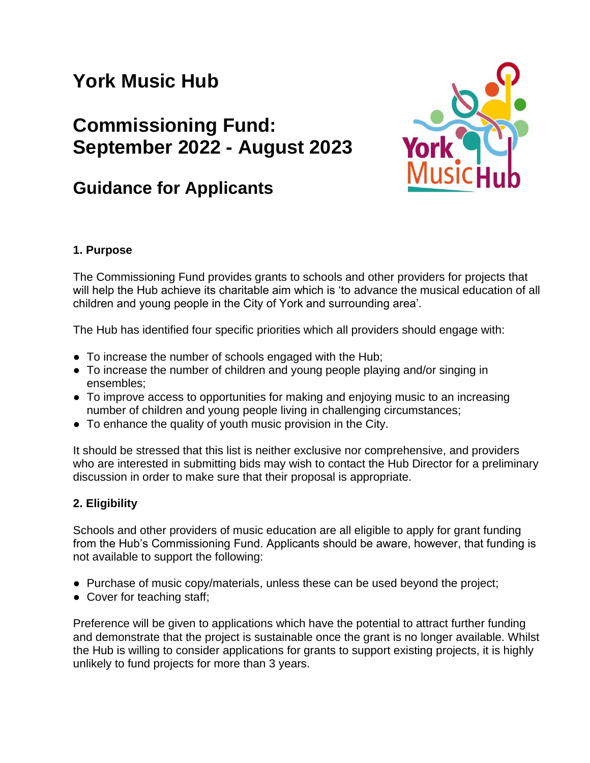# **York Music Hub**

# **Commissioning Fund: September 2022 - August 2023**

# **Guidance for Applicants**



# **1. Purpose**

The Commissioning Fund provides grants to schools and other providers for projects that will help the Hub achieve its charitable aim which is 'to advance the musical education of all children and young people in the City of York and surrounding area'.

The Hub has identified four specific priorities which all providers should engage with:

- To increase the number of schools engaged with the Hub;
- To increase the number of children and young people playing and/or singing in ensembles;
- To improve access to opportunities for making and enjoying music to an increasing number of children and young people living in challenging circumstances;
- To enhance the quality of youth music provision in the City.

It should be stressed that this list is neither exclusive nor comprehensive, and providers who are interested in submitting bids may wish to contact the Hub Director for a preliminary discussion in order to make sure that their proposal is appropriate.

### **2. Eligibility**

Schools and other providers of music education are all eligible to apply for grant funding from the Hub's Commissioning Fund. Applicants should be aware, however, that funding is not available to support the following:

- Purchase of music copy/materials, unless these can be used beyond the project;
- Cover for teaching staff;

Preference will be given to applications which have the potential to attract further funding and demonstrate that the project is sustainable once the grant is no longer available. Whilst the Hub is willing to consider applications for grants to support existing projects, it is highly unlikely to fund projects for more than 3 years.